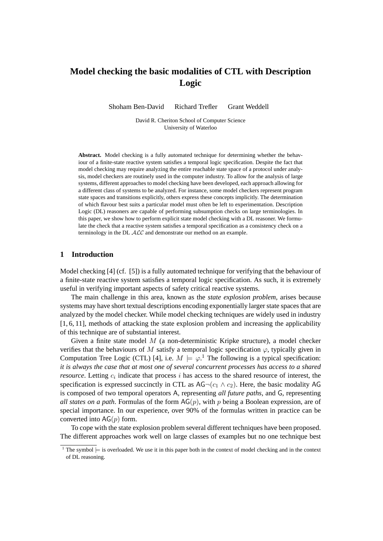# **Model checking the basic modalities of CTL with Description Logic**

Shoham Ben-David Richard Trefler Grant Weddell

David R. Cheriton School of Computer Science University of Waterloo

**Abstract.** Model checking is a fully automated technique for determining whether the behaviour of a finite-state reactive system satisfies a temporal logic specification. Despite the fact that model checking may require analyzing the entire reachable state space of a protocol under analysis, model checkers are routinely used in the computer industry. To allow for the analysis of large systems, different approaches to model checking have been developed, each approach allowing for a different class of systems to be analyzed. For instance, some model checkers represent program state spaces and transitions explicitly, others express these concepts implicitly. The determination of which flavour best suits a particular model must often be left to experimentation. Description Logic (DL) reasoners are capable of performing subsumption checks on large terminologies. In this paper, we show how to perform explicit state model checking with a DL reasoner. We formulate the check that a reactive system satisfies a temporal specification as a consistency check on a terminology in the DL ALC and demonstrate our method on an example.

## **1 Introduction**

Model checking [4] (cf. [5]) is a fully automated technique for verifying that the behaviour of a finite-state reactive system satisfies a temporal logic specification. As such, it is extremely useful in verifying important aspects of safety critical reactive systems.

The main challenge in this area, known as the *state explosion problem*, arises because systems may have short textual descriptions encoding exponentially larger state spaces that are analyzed by the model checker. While model checking techniques are widely used in industry [1, 6, 11], methods of attacking the state explosion problem and increasing the applicability of this technique are of substantial interest.

Given a finite state model  $M$  (a non-deterministic Kripke structure), a model checker verifies that the behaviours of M satisfy a temporal logic specification  $\varphi$ , typically given in Computation Tree Logic (CTL) [4], i.e.  $M \models \varphi$ .<sup>1</sup> The following is a typical specification: *it is always the case that at most one of several concurrent processes has access to a shared resource*. Letting  $c_i$  indicate that process  $i$  has access to the shared resource of interest, the specification is expressed succinctly in CTL as  $AG\neg (c_1 \wedge c_2)$ . Here, the basic modality AG is composed of two temporal operators A, representing *all future paths*, and G, representing *all states on a path*. Formulas of the form  $AG(p)$ , with p being a Boolean expression, are of special importance. In our experience, over 90% of the formulas written in practice can be converted into  $AG(p)$  form.

To cope with the state explosion problem several different techniques have been proposed. The different approaches work well on large classes of examples but no one technique best

<sup>&</sup>lt;sup>1</sup> The symbol  $\models$  is overloaded. We use it in this paper both in the context of model checking and in the context of DL reasoning.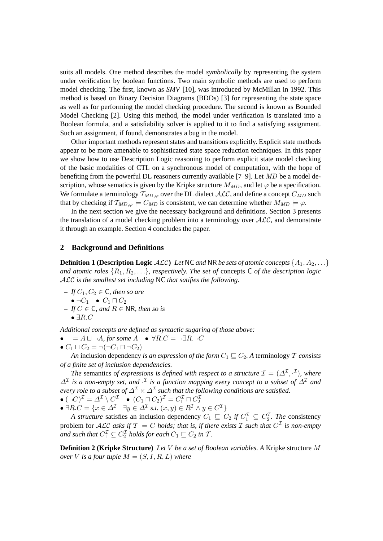suits all models. One method describes the model *symbolically* by representing the system under verification by boolean functions. Two main symbolic methods are used to perform model checking. The first, known as *SMV* [10], was introduced by McMillan in 1992. This method is based on Binary Decision Diagrams (BDDs) [3] for representing the state space as well as for performing the model checking procedure. The second is known as Bounded Model Checking [2]. Using this method, the model under verification is translated into a Boolean formula, and a satisfiability solver is applied to it to find a satisfying assignment. Such an assignment, if found, demonstrates a bug in the model.

Other important methods represent states and transitions explicitly. Explicit state methods appear to be more amenable to sophisticated state space reduction techniques. In this paper we show how to use Description Logic reasoning to perform explicit state model checking of the basic modalities of CTL on a synchronous model of computation, with the hope of benefiting from the powerful DL reasoners currently available [7–9]. Let MD be a model description, whose sematics is given by the Kripke structure  $M_{MD}$ , and let  $\varphi$  be a specification. We formulate a terminology  $T_{MD,\varphi}$  over the DL dialect  $\mathcal{ALC}$ , and define a concept  $C_{MD}$  such that by checking if  $T_{MD,\varphi} \models C_{MD}$  is consistent, we can determine whether  $M_{MD} \models \varphi$ .

In the next section we give the necessary background and definitions. Section 3 presents the translation of a model checking problem into a terminology over  $ALC$ , and demonstrate it through an example. Section 4 concludes the paper.

### **2 Background and Definitions**

**Definition 1 (Description Logic**  $ALC$ ) Let NC and NR be sets of atomic concepts  $\{A_1, A_2, \ldots\}$ *and atomic roles*  $\{R_1, R_2, \ldots\}$ *, respectively. The set of concepts*  $C$  *of the description logic* ALC *is the smallest set including* NC *that satifies the following.*

 $-IfC_1, C_2 \in \mathsf{C}$ , then so are  $\bullet \neg C_1 \bullet C_1 \sqcap C_2$ **–** *If* C ∈ C*, and* R ∈ NR*, then so is*  $\bullet$  ∃ $R.C$ 

*Additional concepts are defined as syntactic sugaring of those above:*

 $\bullet \top = A \sqcup \neg A$ , for some  $A \bullet \forall R.C = \neg \exists R.\neg C$ 

$$
\bullet C_1 \sqcup C_2 = \neg(\neg C_1 \sqcap \neg C_2)
$$

*An* inclusion dependency *is an expression of the form*  $C_1 \sqsubseteq C_2$ . A terminology T *consists of a finite set of inclusion dependencies.*

*The* semantics *of expressions is defined with respect to a structure*  $\mathcal{I} = (\Delta^{\mathcal{I}}, \cdot^{\mathcal{I}})$ , where  $\Delta^{\mathcal{I}}$  is a non-empty set, and  $\cdot^{\mathcal{I}}$  is a function mapping every concept to a subset of  $\Delta^{\mathcal{I}}$  and  $e$ very role to a subset of  $\varDelta^\mathcal{I} \times \varDelta^\mathcal{I}$  such that the following conditions are satisfied.

$$
\begin{aligned}\n\bullet \, (\neg C)^{\mathcal{I}} &= \varDelta^{\mathcal{I}} \setminus C^{\mathcal{I}} \quad \bullet \, (C_1 \sqcap C_2)^{\mathcal{I}} = C_1^{\mathcal{I}} \sqcap C_2^{\mathcal{I}} \\
\bullet \, \exists R.C &= \{x \in \varDelta^{\mathcal{I}} \mid \exists y \in \varDelta^{\mathcal{I}} \, s.t. \, (x, y) \in R^{\mathcal{I}} \land y \in C^{\mathcal{I}}\}\n\end{aligned}
$$

*A structure* satisfies an inclusion dependency  $C_1 \subseteq C_2$  if  $C_1^{\mathcal{I}} \subseteq C_2^{\mathcal{I}}$ . The consistency problem for ALC asks if  $T \models C$  *holds; that is, if there exists*  $\mathcal I$  *such that*  $C^{\mathcal I}$  *is non-empty* and such that  $C_1^{\mathcal{I}} \subseteq C_2^{\mathcal{I}}$  holds for each  $C_1 \sqsubseteq C_2$  in  $\mathcal{T}$ *.* 

**Definition 2 (Kripke Structure)** *Let* V *be a set of Boolean variables. A* Kripke structure M *over V* is a four tuple  $M = (S, I, R, L)$  where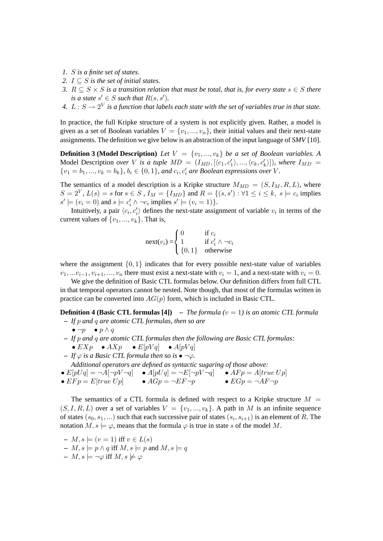- *1.* S *is a finite set of states.*
- 2.  $I \subseteq S$  *is the set of initial states.*
- *3.*  $R ⊂ S × S$  *is a transition relation that must be total, that is, for every state*  $s ∈ S$  *there is a state*  $s' \in S$  *such that*  $R(s, s')$ *.*
- 4.  $L: S \rightarrow 2^V$  is a function that labels each state with the set of variables true in that state.

In practice, the full Kripke structure of a system is not explicitly given. Rather, a model is given as a set of Boolean variables  $V = \{v_1, ..., v_n\}$ , their initial values and their next-state assignments. The definition we give below is an abstraction of the input language of *SMV* [10].

**Definition 3 (Model Description)** *Let*  $V = \{v_1, ..., v_k\}$  *be a set of Boolean variables.* A Model Description *over* V is a tuple  $MD = (I_{MD}, [\langle c_1, c'_1 \rangle, ..., \langle c_k, c'_k \rangle])$ , where  $I_{MD} =$  $\{v_1 = b_1, ..., v_k = b_k\}, b_i \in \{0, 1\}$ , and  $c_i, c'_i$  are Boolean expressions over V.

The semantics of a model description is a Kripke structure  $M_{MD} = (S, I_M, R, L)$ , where  $S = 2^V$ ,  $L(s) = s$  for  $s \in S$  ,  $I_M = \{I_{MD}\}\$  and  $R = \{(s, s') : \forall 1 \le i \le k, s \models c_i\}$  implies  $s' \models (v_i = 0)$  and  $s \models c'_i \land \neg c_i$  implies  $s' \models (v_i = 1)$ .

Intuitively, a pair  $\langle c_i, c'_i \rangle$  defines the next-state assignment of variable  $v_i$  in terms of the current values of  $\{v_1, ..., v_k\}$ . That is,

$$
\text{next}(v_i) = \begin{cases} 0 & \text{if } c_i \\ 1 & \text{if } c'_i \land \neg c_i \\ \{0, 1\} & \text{otherwise} \end{cases}
$$

where the assignment  $\{0, 1\}$  indicates that for every possible next-state value of variables  $v_1, \ldots v_{i-1}, v_{i+1}, \ldots, v_n$  there must exist a next-state with  $v_i = 1$ , and a next-state with  $v_i = 0$ .

We give the definition of Basic CTL formulas below. Our definition differs from full CTL in that temporal operators cannot be nested. Note though, that most of the formulas written in practice can be converted into  $AG(p)$  form, which is included in Basic CTL.

**Definition 4 (Basic CTL formulas [4]) –** *The formula (*v = 1*) is an atomic CTL formula* **–** *If* p *and* q *are atomic CTL formulas, then so are*

- $\bullet \neg p \bullet p \wedge q$
- **–** *If* p *and* q *are atomic CTL formulas then the following are Basic CTL formulas:* •  $EXp$  •  $AXp$  •  $E[pVq]$  •  $A[pVq]$
- $-$  *If*  $\varphi$  *is a Basic CTL formula then so is*  $\bullet \neg \varphi$ *. Additional operators are defined as syntactic sugaring of those above:*
- $E[pUq] = \neg A[\neg pV \neg q]$   $A[pUq] = \neg E[\neg pV \neg q]$   $AFp = A[true U p]$
- $E F p = E [true U p]$   $AG p = \neg EF \neg p$   $EG p = \neg AF \neg p$

The semantics of a CTL formula is defined with respect to a Kripke structure  $M =$  $(S, I, R, L)$  over a set of variables  $V = \{v_1, ..., v_k\}$ . A path in M is an infinite sequence of states  $(s_0, s_1, ...)$  such that each successive pair of states  $(s_i, s_{i+1})$  is an element of R. The notation  $M, s \models \varphi$ , means that the formula  $\varphi$  is true in state s of the model M.

- $-M, s \models (v = 1)$  iff  $v \in L(s)$
- **−**  $M, s \models p \land q$  iff  $M, s \models p$  and  $M, s \models q$
- $M, s \models \neg \varphi$  iff  $M, s \not\models \varphi$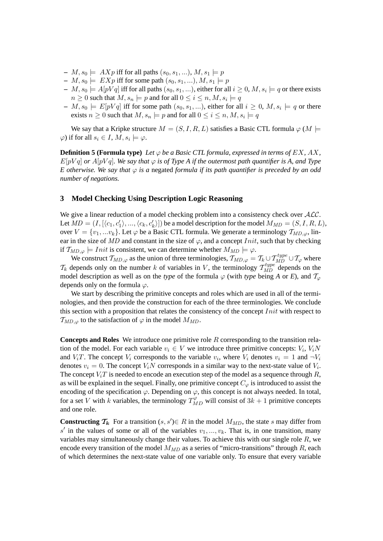- $M$ ,  $s_0 \models AXp$  iff for all paths  $(s_0, s_1, \ldots), M$ ,  $s_1 \models p$
- $M$ ,  $s_0 \models EXp$  iff for some path  $(s_0, s_1, \ldots), M$ ,  $s_1 \models p$
- $I-M,s_0\models A[pVq]$  iff for all paths  $(s_0,s_1,...),$  either for all  $i\geq 0,$   $M,s_i\models q$  or there exists  $n\geq 0$  such that  $M, s_n \models p$  and for all  $0\leq i\leq n, M, s_i \models q$
- $I M$ ,  $s_0 \models E[pVq]$  iff for some path  $(s_0, s_1, ...)$ , either for all  $i \geq 0$ ,  $M, s_i \models q$  or there exists  $n \geq 0$  such that  $M, s_n \models p$  and for all  $0 \leq i \leq n, M, s_i \models q$

We say that a Kripke structure  $M = (S, I, R, L)$  satisfies a Basic CTL formula  $\varphi$  ( $M \models$  $\varphi$ ) if for all  $s_i \in I$ ,  $M$ ,  $s_i \models \varphi$ .

**Definition 5 (Formula type)** Let  $\varphi$  be a Basic CTL formula, expressed in terms of EX, AX,  $E[pVq]$  *or*  $A[pVq]$ *. We say that*  $\varphi$  *is of Type A if the outermost path quantifier is A, and Type E* otherwise. We say that  $\varphi$  *is a* negated *formula if its path quantifier is preceded by an odd number of negations.*

## **3 Model Checking Using Description Logic Reasoning**

We give a linear reduction of a model checking problem into a consistency check over  $\text{ALC}$ . Let  $MD = (I, [\langle c_1, c'_1 \rangle, ..., \langle c_k, c'_k \rangle])$  be a model description for the model  $M_{MD} = (S, I, R, L)$ , over  $V = \{v_1, ... v_k\}$ . Let  $\varphi$  be a Basic CTL formula. We generate a terminology  $T_{MD,\varphi}$ , linear in the size of MD and constant in the size of  $\varphi$ , and a concept Init, such that by checking if  $T_{MD,\varphi}$  = Init is consistent, we can determine whether  $M_{MD} \models \varphi$ .

We construct  $T_{MD,\varphi}$  as the union of three terminologies,  $T_{MD,\varphi} = T_k \cup T_{MD}^{type} \cup T_{\varphi}$  where  $\mathcal{T}_k$  depends only on the number k of variables in V, the terminology  $\mathcal{T}_{MD}^{type}$  depends on the model description as well as on the *type* of the formula  $\varphi$  (with *type* being *A* or *E*), and  $\mathcal{T}_{\varphi}$ depends only on the formula  $\varphi$ .

We start by describing the primitive concepts and roles which are used in all of the terminologies, and then provide the construction for each of the three terminologies. We conclude this section with a proposition that relates the consistency of the concept  $Init$  with respect to  $T_{MD,\varphi}$  to the satisfaction of  $\varphi$  in the model  $M_{MD}$ .

**Concepts and Roles** We introduce one primitive role R corresponding to the transition relation of the model. For each variable  $v_i \in V$  we introduce three primitive concepts:  $V_i$ ,  $V_iN$ and  $V_i$ . The concept  $V_i$  corresponds to the variable  $v_i$ , where  $V_i$  denotes  $v_i = 1$  and  $\neg V_i$ denotes  $v_i = 0$ . The concept  $V_iN$  corresponds in a similar way to the next-state value of  $V_i$ . The concept  $V_iT$  is needed to encode an execution step of the model as a sequence through  $R$ , as will be explained in the sequel. Finally, one primitive concept  $C_{\omega}$  is introduced to assist the encoding of the specification  $\varphi$ . Depending on  $\varphi$ , this concept is not always needed. In total, for a set V with k variables, the terminology  $T_{MD}^{\varphi}$  will consist of  $3k + 1$  primitive concepts and one role.

**Constructing**  $T_k$  For a transition  $(s, s') \in R$  in the model  $M_{MD}$ , the state s may differ from s' in the values of some or all of the variables  $v_1, ..., v_k$ . That is, in one transition, many variables may simultaneously change their values. To achieve this with our single role R, we encode every transition of the model  $M_{MD}$  as a series of "micro-transitions" through R, each of which determines the next-state value of one variable only. To ensure that every variable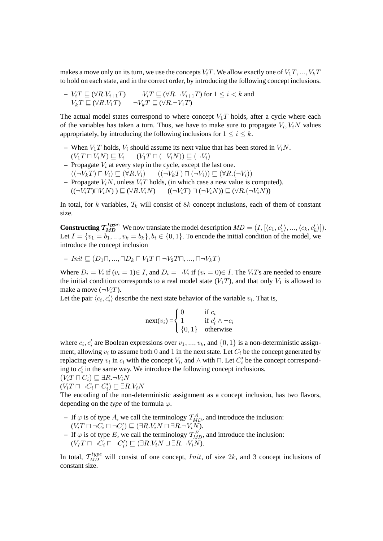makes a move only on its turn, we use the concepts  $V_iT$ . We allow exactly one of  $V_1T, ..., V_kT$ to hold on each state, and in the correct order, by introducing the following concept inclusions.

$$
\begin{array}{ll}\n-V_i T \sqsubseteq (\forall R.V_{i+1}T) & \neg V_i T \sqsubseteq (\forall R.\neg V_{i+1}T) \text{ for } 1 \leq i < k \text{ and } \\
V_k T \sqsubseteq (\forall R.V_1T) & \neg V_k T \sqsubseteq (\forall R.\neg V_1T)\n\end{array}
$$

The actual model states correspond to where concept  $V_1T$  holds, after a cycle where each of the variables has taken a turn. Thus, we have to make sure to propagate  $V_i$ ,  $V_iN$  values appropriately, by introducing the following inclusions for  $1 \le i \le k$ .

- When  $V_1T$  holds,  $V_i$  should assume its next value that has been stored in  $V_iN$ .  $(V_1T\sqcap V_iN)\sqsubseteq V_i$   $(V_1T\sqcap (\neg V_iN))\sqsubseteq (\neg V_i)$
- $-$  Propagate  $V_i$  at every step in the cycle, except the last one.  $((\neg V_kT \cap V_i) \sqsubseteq (\forall R.V_i)$   $((\neg V_kT \cap (\neg V_i)) \sqsubseteq (\forall R.(\neg V_i))$
- **–** Propagate  $V_iN$ , unless  $V_iT$  holds, (in which case a new value is computed).  $((\neg V_iT)\neg V_iN) \sqsubseteq (\forall R.V_iN)$   $((\neg V_iT)\sqcap (\neg V_iN)) \sqsubseteq (\forall R.(\neg V_iN))$

In total, for k variables,  $T_k$  will consist of 8k concept inclusions, each of them of constant size.

**Constructing**  $\mathcal{T}_{MD}^{type}$  We now translate the model description  $MD = (I, [\langle c_1, c'_1 \rangle, ..., \langle c_k, c'_k \rangle]).$ Let  $I = \{v_1 = b_1, ..., v_k = b_k\}, b_i \in \{0, 1\}$ . To encode the initial condition of the model, we introduce the concept inclusion

$$
- Init \sqsubseteq (D_1 \sqcap, ..., \sqcap D_k \sqcap V_1 T \sqcap \neg V_2 T \sqcap, ..., \sqcap \neg V_k T)
$$

Where  $D_i = V_i$  if  $(v_i = 1) \in I$ , and  $D_i = \neg V_i$  if  $(v_i = 0) \in I$ . The  $V_i$ *Ts* are needed to ensure the initial condition corresponds to a real model state  $(V_1T)$ , and that only  $V_1$  is allowed to make a move  $(\neg V_i)$ .

Let the pair  $\langle c_i, c'_i \rangle$  describe the next state behavior of the variable  $v_i$ . That is,

$$
next(v_i) = \begin{cases} 0 & \text{if } c_i \\ 1 & \text{if } c'_i \land \neg c_i \\ \{0, 1\} & \text{otherwise} \end{cases}
$$

where  $c_i, c'_i$  are Boolean expressions over  $v_1, ..., v_k$ , and  $\{0, 1\}$  is a non-deterministic assignment, allowing  $v_i$  to assume both 0 and 1 in the next state. Let  $C_i$  be the concept generated by replacing every  $v_i$  in  $c_i$  with the concept  $V_i$ , and  $\wedge$  with  $\Box$ . Let  $C'_i$  be the concept corresponding to  $c_i'$  in the same way. We introduce the following concept inclusions.

$$
(V_i T \sqcap C_i) \sqsubseteq \exists R. \neg V_i N
$$

 $(V_i T \sqcap \neg C_i \sqcap C'_i) \sqsubseteq \exists R.V_iN$ 

The encoding of the non-deterministic assignment as a concept inclusion, has two flavors, depending on the *type* of the formula  $\varphi$ .

- $-$  If  $\varphi$  is of type A, we call the terminology  $\mathcal{T}_{MD}^A$ , and introduce the inclusion:  $(V_i T \sqcap \neg C_i' \sqcap \neg C_i') \sqsubseteq (\exists R.V_iN \sqcap \exists R.\neg V_i\overline{N}).$
- $-$  If  $\varphi$  is of type E, we call the terminology  $\mathcal{T}_{MD}^E$ , and introduce the inclusion:  $(V_I T \sqcap \neg C_i \sqcap \neg C'_i) \sqsubseteq (\exists R.V_iN \sqcup \exists R.\neg V_i\overline{N}).$

In total,  $\mathcal{T}_{MD}^{type}$  will consist of one concept, *Init*, of size 2k, and 3 concept inclusions of constant size.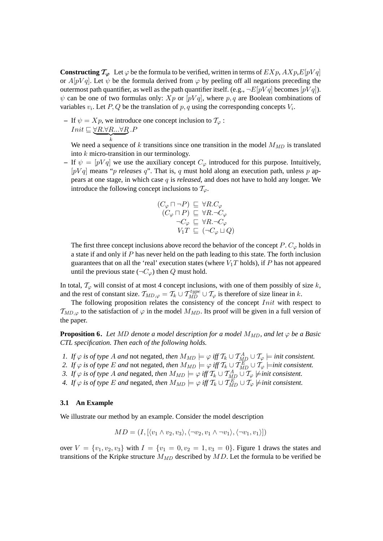**Constructing**  $\mathcal{T}_{\varphi}$  Let  $\varphi$  be the formula to be verified, written in terms of  $EXP$ ,  $A X p, E[pVq]$ or  $A[pVq]$ . Let  $\psi$  be the formula derived from  $\varphi$  by peeling off all negations preceding the outermost path quantifier, as well as the path quantifier itself. (e.g.,  $\neg E[pVq]$  becomes  $[pVq]$ ).  $\psi$  can be one of two formulas only:  $Xp$  or  $[pVq]$ , where p, q are Boolean combinations of variables  $v_i$ . Let  $P, Q$  be the translation of  $p, q$  using the corresponding concepts  $V_i$ .

**–** If  $\psi = Xp$ , we introduce one concept inclusion to  $\mathcal{T}_{\varphi}$ :  $Init \sqsubseteq \forall R. \forall R...\forall R$  $\overbrace{k}$  $\cdot$  $\overline{P}$ 

We need a sequence of k transitions since one transition in the model  $M_{MD}$  is translated into k micro-transition in our terminology.

– If  $\psi = [pVq]$  we use the auxiliary concept  $C_{\varphi}$  introduced for this purpose. Intuitively,  $[pVq]$  means "*p releases q*". That is, q must hold along an execution path, unless p appears at one stage, in which case q is *released*, and does not have to hold any longer. We introduce the following concept inclusions to  $\mathcal{T}_{\varphi}$ .

$$
\begin{array}{c} (C_{\varphi} \sqcap \neg P) \sqsubseteq \forall R.C_{\varphi} \\ (C_{\varphi} \sqcap P) \sqsubseteq \forall R.\neg C_{\varphi} \\ \neg C_{\varphi} \sqsubseteq \forall R.\neg C_{\varphi} \\ V_1T \sqsubseteq (\neg C_{\varphi} \sqcup Q) \end{array}
$$

The first three concept inclusions above record the behavior of the concept  $P$ .  $C_{\varphi}$  holds in a state if and only if P has never held on the path leading to this state. The forth inclusion guarantees that on all the 'real' execution states (where  $V_1T$  holds), if P has not appeared until the previous state ( $\neg C_{\varphi}$ ) then Q must hold.

In total,  $T_{\varphi}$  will consist of at most 4 concept inclusions, with one of them possibly of size k, and the rest of constant size.  $\mathcal{T}_{MD,\varphi} = \mathcal{T}_k \cup \mathcal{T}_{MD}^{type} \cup \mathcal{T}_{\varphi}$  is therefore of size linear in k.

The following proposition relates the consistency of the concept *Init* with respect to  $T_{MD,\varphi}$  to the satisfaction of  $\varphi$  in the model  $M_{MD}$ . Its proof will be given in a full version of the paper.

**Proposition 6.** *Let* MD denote a model description for a model  $M_{MD}$ , and let  $\varphi$  be a Basic *CTL specification. Then each of the following holds.*

- *1. If*  $\varphi$  *is of type A and* not negated, *then*  $M_{MD} \models \varphi$  *iff*  $\mathcal{T}_k \cup \mathcal{T}_{MD}^A \cup \mathcal{T}_{\varphi} \models$  *init consistent.*
- 2. If  $\varphi$  *is of type E and* not negated, then  $M_{MD} \models \varphi$  iff  $\mathcal{T}_k \cup \mathcal{T}_{MD}^E \cup \mathcal{T}_{\varphi}$   $\models$ *init consistent.*
- *3.* If  $\varphi$  *is of type A and negated, then*  $M_{MD} \models \varphi$  *iff*  $\mathcal{T}_k \cup \mathcal{T}_{MD}^A \cup \mathcal{T}_{\varphi}$   $\nmodels init$  consistent.
- *4.* If  $\varphi$  is of type E and negated, then  $M_{MD} \models \varphi$  iff  $\mathcal{T}_k \cup \mathcal{T}_{MD}^E \cup \mathcal{T}_{\varphi}$   $\nmodels init$  consistent.

#### **3.1 An Example**

We illustrate our method by an example. Consider the model description

$$
MD = (I, \{ \langle v_1 \wedge v_2, v_3 \rangle, \langle \neg v_2, v_1 \wedge \neg v_1 \rangle, \langle \neg v_1, v_1 \rangle \})
$$

over  $V = \{v_1, v_2, v_3\}$  with  $I = \{v_1 = 0, v_2 = 1, v_3 = 0\}$ . Figure 1 draws the states and transitions of the Kripke structure  $M_{MD}$  described by  $MD$ . Let the formula to be verified be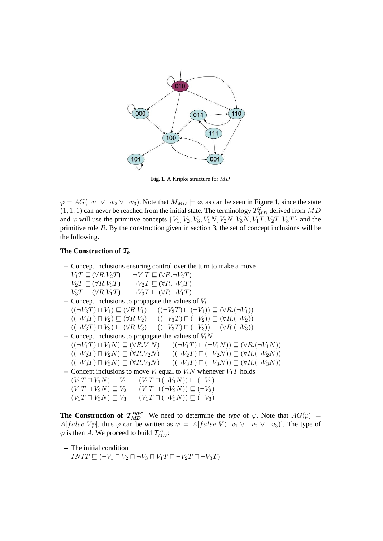

**Fig. 1.** A Kripke structure for MD

 $\varphi = AG(\neg v_1 \lor \neg v_2 \lor \neg v_3)$ . Note that  $M_{MD} \models \varphi$ , as can be seen in Figure 1, since the state  $(1, 1, 1)$  can never be reached from the initial state. The terminology  $T_{MD}^{\varphi}$  derived from  $MD$ and  $\varphi$  will use the primitive concepts  $\{V_1, V_2, V_3, V_1N, V_2N, V_3N, V_1T, V_2T, V_3T\}$  and the primitive role  $R$ . By the construction given in section 3, the set of concept inclusions will be the following.

## The Construction of  $\mathcal{T}_k$

**–** Concept inclusions ensuring control over the turn to make a move  $V_1T \sqsubseteq (\forall R.V_2T) \qquad \neg V_1T \sqsubseteq (\forall R.\neg V_2T)$  $V_2T \sqsubseteq (\forall R.V_3T) \qquad \neg V_2T \sqsubseteq (\forall R.\neg V_3T)$  $V_3T \sqsubset (\forall R.V_1T) \qquad \neg V_3T \sqsubset (\forall R.\neg V_1T)$  $\sim$  Concept inclusions to propagate the values of  $V_i$  $((\neg V_3T)\sqcap V_1)\sqsubseteq (\forall R.V_1)$   $((\neg V_3T)\sqcap(\neg V_1))\sqsubseteq (\forall R.(\neg V_1))$  $((\neg V_3T)\sqcap V_2)\sqsubseteq (\forall R.V_2)$   $((\neg V_3T)\sqcap (\neg V_2))\sqsubseteq (\forall R.(\neg V_2))$  $((\neg V_3T)\sqcap V_3)\sqsubseteq (\forall R.V_3)$   $((\neg V_3T)\sqcap(\neg V_3))\sqsubseteq (\forall R.(\neg V_3))$  $-$  Concept inclusions to propagate the values of  $V_iN$  $((\neg V_1T)\sqcap V_1N)\sqsubseteq (\forall R.V_1N)$   $((\neg V_1T)\sqcap (\neg V_1N))\sqsubseteq (\forall R.(\neg V_1N))$  $((\neg V_2T)\sqcap V_2N)\sqsubseteq (\forall R.V_2N)$   $((\neg V_2T)\sqcap (\neg V_2N))\sqsubseteq (\forall R.(\neg V_2N))$  $((\neg V_3T) \sqcap V_3N) \sqsubseteq (\forall R.V_3N)$   $((\neg V_3T) \sqcap (\neg V_3N)) \sqsubseteq (\forall R.(\neg V_3N))$ **–** Concept inclusions to move  $V_i$  equal to  $V_iN$  whenever  $V_1T$  holds  $(V_1T \sqcap V_1N) \sqsubseteq V_1$   $(V_1T \sqcap (\neg V_1N)) \sqsubseteq (\neg V_1)$  $(V_1T\sqcap V_2N) \sqsubseteq V_2$   $(V_1T\sqcap (\neg V_2N)) \sqsubseteq (\neg V_2)$  $(V_1T \sqcap V_3N) \sqsubseteq V_3$   $(V_1T \sqcap (\neg V_3N)) \sqsubseteq (\neg V_3)$ 

**The Construction of**  $\mathcal{T}_{MD}^{type}$  We need to determine the *type* of  $\varphi$ . Note that  $AG(p)$  = A[false Vp], thus  $\varphi$  can be written as  $\varphi = A[false \ V(\neg v_1 \lor \neg v_2 \lor \neg v_3)]$ . The type of  $\varphi$  is then A. We proceed to build  $\mathcal{T}_{MD}^A$ :

**–** The initial condition  $INIT \sqsubseteq (\neg V_1 \sqcap V_2 \sqcap \neg V_3 \sqcap V_1T \sqcap \neg V_2T \sqcap \neg V_3T)$